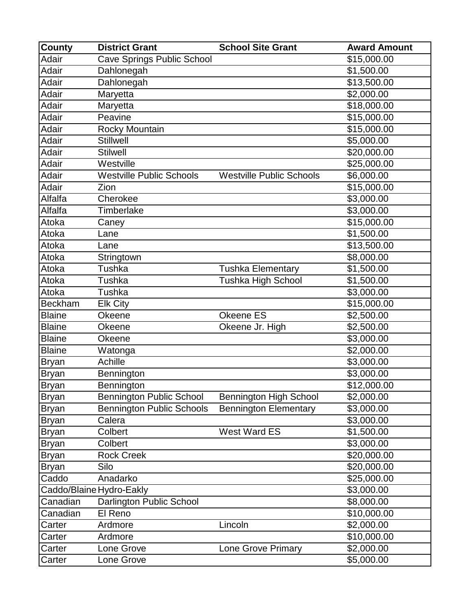| <b>County</b>  | <b>District Grant</b>             | <b>School Site Grant</b>        | <b>Award Amount</b> |
|----------------|-----------------------------------|---------------------------------|---------------------|
| Adair          | <b>Cave Springs Public School</b> |                                 | \$15,000.00         |
| Adair          | Dahlonegah                        |                                 | \$1,500.00          |
| Adair          | Dahlonegah                        |                                 | \$13,500.00         |
| Adair          | Maryetta                          |                                 | \$2,000.00          |
| Adair          | Maryetta                          |                                 | \$18,000.00         |
| Adair          | Peavine                           |                                 | \$15,000.00         |
| Adair          | Rocky Mountain                    |                                 | \$15,000.00         |
| Adair          | <b>Stillwell</b>                  |                                 | \$5,000.00          |
| Adair          | <b>Stilwell</b>                   |                                 | \$20,000.00         |
| Adair          | Westville                         |                                 | \$25,000.00         |
| Adair          | <b>Westville Public Schools</b>   | <b>Westville Public Schools</b> | \$6,000.00          |
| Adair          | Zion                              |                                 | \$15,000.00         |
| Alfalfa        | Cherokee                          |                                 | \$3,000.00          |
| Alfalfa        | <b>Timberlake</b>                 |                                 | \$3,000.00          |
| Atoka          | Caney                             |                                 | \$15,000.00         |
| Atoka          | Lane                              |                                 | \$1,500.00          |
| Atoka          | Lane                              |                                 | \$13,500.00         |
| Atoka          | Stringtown                        |                                 | \$8,000.00          |
| Atoka          | Tushka                            | <b>Tushka Elementary</b>        | \$1,500.00          |
| Atoka          | Tushka                            | Tushka High School              | \$1,500.00          |
| Atoka          | Tushka                            |                                 | \$3,000.00          |
| <b>Beckham</b> | <b>Elk City</b>                   |                                 | \$15,000.00         |
| <b>Blaine</b>  | Okeene                            | Okeene ES                       | \$2,500.00          |
| <b>Blaine</b>  | Okeene                            | Okeene Jr. High                 | \$2,500.00          |
| <b>Blaine</b>  | Okeene                            |                                 | \$3,000.00          |
| <b>Blaine</b>  | Watonga                           |                                 | \$2,000.00          |
| <b>Bryan</b>   | Achille                           |                                 | \$3,000.00          |
| <b>Bryan</b>   | Bennington                        |                                 | \$3,000.00          |
| <b>Bryan</b>   | <b>Bennington</b>                 |                                 | \$12,000.00         |
| <b>Bryan</b>   | <b>Bennington Public School</b>   | <b>Bennington High School</b>   | \$2,000.00          |
| <b>Bryan</b>   | <b>Bennington Public Schools</b>  | <b>Bennington Elementary</b>    | \$3,000.00          |
| <b>Bryan</b>   | Calera                            |                                 | \$3,000.00          |
| <b>Bryan</b>   | Colbert                           | <b>West Ward ES</b>             | \$1,500.00          |
| <b>Bryan</b>   | Colbert                           |                                 | \$3,000.00          |
| <b>Bryan</b>   | <b>Rock Creek</b>                 |                                 | \$20,000.00         |
| <b>Bryan</b>   | Silo                              |                                 | \$20,000.00         |
| Caddo          | Anadarko                          |                                 | \$25,000.00         |
|                | Caddo/Blaine Hydro-Eakly          |                                 | \$3,000.00          |
| Canadian       | Darlington Public School          |                                 | \$8,000.00          |
| Canadian       | El Reno                           |                                 | \$10,000.00         |
| Carter         | Ardmore                           | Lincoln                         | \$2,000.00          |
| Carter         | Ardmore                           |                                 | \$10,000.00         |
| Carter         | Lone Grove                        | Lone Grove Primary              | \$2,000.00          |
| Carter         | Lone Grove                        |                                 | \$5,000.00          |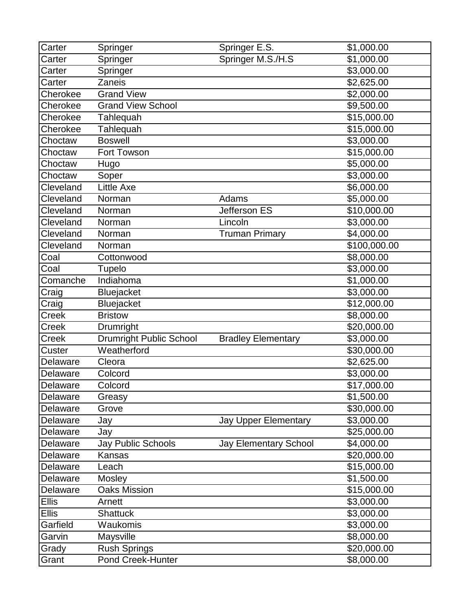| Carter          | Springer                       | Springer E.S.                | \$1,000.00        |
|-----------------|--------------------------------|------------------------------|-------------------|
| Carter          | Springer                       | Springer M.S./H.S            | \$1,000.00        |
| Carter          | Springer                       |                              | \$3,000.00        |
| Carter          | Zaneis                         |                              | \$2,625.00        |
| Cherokee        | <b>Grand View</b>              |                              | \$2,000.00        |
| Cherokee        | <b>Grand View School</b>       |                              | \$9,500.00        |
| Cherokee        | Tahlequah                      |                              | \$15,000.00       |
| Cherokee        | Tahlequah                      |                              | \$15,000.00       |
| Choctaw         | <b>Boswell</b>                 |                              | \$3,000.00        |
| Choctaw         | <b>Fort Towson</b>             |                              | \$15,000.00       |
| Choctaw         | Hugo                           |                              | \$5,000.00        |
| Choctaw         | Soper                          |                              | \$3,000.00        |
| Cleveland       | <b>Little Axe</b>              |                              | \$6,000.00        |
| Cleveland       | Norman                         | Adams                        | \$5,000.00        |
| Cleveland       | Norman                         | Jefferson ES                 | \$10,000.00       |
| Cleveland       | Norman                         | Lincoln                      | \$3,000.00        |
| Cleveland       | Norman                         | <b>Truman Primary</b>        | \$4,000.00        |
| Cleveland       | Norman                         |                              | \$100,000.00      |
| Coal            | Cottonwood                     |                              | \$8,000.00        |
| Coal            | Tupelo                         |                              | \$3,000.00        |
| Comanche        | Indiahoma                      |                              | \$1,000.00        |
| Craig           | Bluejacket                     |                              | \$3,000.00        |
| Craig           | Bluejacket                     |                              | \$12,000.00       |
| Creek           | <b>Bristow</b>                 |                              | \$8,000.00        |
| Creek           | Drumright                      |                              | \$20,000.00       |
| Creek           | <b>Drumright Public School</b> | <b>Bradley Elementary</b>    | \$3,000.00        |
| Custer          | Weatherford                    |                              | \$30,000.00       |
| Delaware        | Cleora                         |                              | \$2,625.00        |
| Delaware        | Colcord                        |                              | \$3,000.00        |
| Delaware        | Colcord                        |                              | \$17,000.00       |
| Delaware        | Greasy                         |                              | \$1,500.00        |
| <b>Delaware</b> | Grove                          |                              | \$30,000.00       |
| Delaware        | Jay                            | <b>Jay Upper Elementary</b>  | \$3,000.00        |
| Delaware        | Jay                            |                              | \$25,000.00       |
| Delaware        | Jay Public Schools             | <b>Jay Elementary School</b> | \$4,000.00        |
| Delaware        | Kansas                         |                              | \$20,000.00       |
| Delaware        | Leach                          |                              | \$15,000.00       |
| Delaware        | Mosley                         |                              | \$1,500.00        |
| Delaware        | <b>Oaks Mission</b>            |                              | \$15,000.00       |
| <b>Ellis</b>    | Arnett                         |                              | $\sqrt{3,000.00}$ |
| <b>Ellis</b>    | <b>Shattuck</b>                |                              | \$3,000.00        |
| Garfield        | Waukomis                       |                              | \$3,000.00        |
| Garvin          | Maysville                      |                              | \$8,000.00        |
| Grady           | <b>Rush Springs</b>            |                              | \$20,000.00       |
| Grant           | Pond Creek-Hunter              |                              | \$8,000.00        |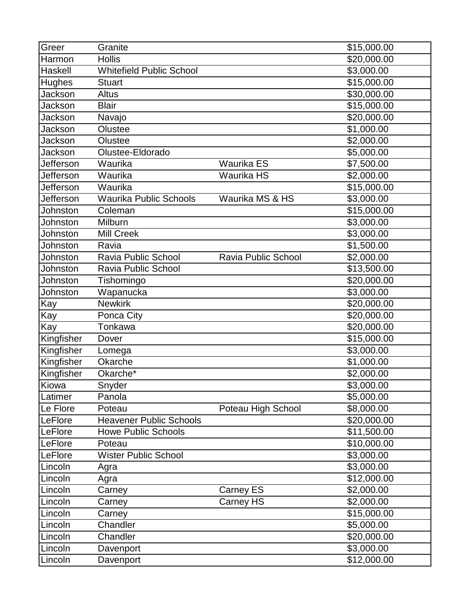| Greer           | Granite                         |                     | \$15,000.00            |
|-----------------|---------------------------------|---------------------|------------------------|
| Harmon          | <b>Hollis</b>                   |                     | \$20,000.00            |
| Haskell         | <b>Whitefield Public School</b> |                     | \$3,000.00             |
| Hughes          | <b>Stuart</b>                   |                     | \$15,000.00            |
| Jackson         | Altus                           |                     | \$30,000.00            |
| Jackson         | <b>Blair</b>                    |                     | \$15,000.00            |
| Jackson         | Navajo                          |                     | \$20,000.00            |
| Jackson         | Olustee                         |                     | \$1,000.00             |
| Jackson         | Olustee                         |                     | \$2,000.00             |
| Jackson         | Olustee-Eldorado                |                     | \$5,000.00             |
| Jefferson       | Waurika                         | <b>Waurika ES</b>   | \$7,500.00             |
| Jefferson       | Waurika                         | Waurika HS          | \$2,000.00             |
| Jefferson       | Waurika                         |                     | \$15,000.00            |
| Jefferson       | <b>Waurika Public Schools</b>   | Waurika MS & HS     | \$3,000.00             |
| Johnston        | Coleman                         |                     | \$15,000.00            |
| <b>Johnston</b> | Milburn                         |                     | \$3,000.00             |
| Johnston        | <b>Mill Creek</b>               |                     | \$3,000.00             |
| Johnston        | Ravia                           |                     | \$1,500.00             |
| Johnston        | Ravia Public School             | Ravia Public School | \$2,000.00             |
| Johnston        | <b>Ravia Public School</b>      |                     | \$13,500.00            |
| Johnston        | Tishomingo                      |                     | \$20,000.00            |
| Johnston        | Wapanucka                       |                     | $\overline{$3,000.00}$ |
| Kay             | <b>Newkirk</b>                  |                     | \$20,000.00            |
| Kay             | Ponca City                      |                     | \$20,000.00            |
| Kay             | Tonkawa                         |                     | \$20,000.00            |
| Kingfisher      | Dover                           |                     | \$15,000.00            |
| Kingfisher      | Lomega                          |                     | \$3,000.00             |
| Kingfisher      | Okarche                         |                     | \$1,000.00             |
| Kingfisher      | Okarche*                        |                     | \$2,000.00             |
| Kiowa           | Snyder                          |                     | \$3,000.00             |
| Latimer         | Panola                          |                     | \$5,000.00             |
| Le Flore        | Poteau                          | Poteau High School  | \$8,000.00             |
| LeFlore         | <b>Heavener Public Schools</b>  |                     | \$20,000.00            |
| LeFlore         | <b>Howe Public Schools</b>      |                     | \$11,500.00            |
| LeFlore         | Poteau                          |                     | \$10,000.00            |
| LeFlore         | <b>Wister Public School</b>     |                     | \$3,000.00             |
| Lincoln         | Agra                            |                     | \$3,000.00             |
| Lincoln         | Agra                            |                     | \$12,000.00            |
| Lincoln         | Carney                          | Carney ES           | \$2,000.00             |
| Lincoln         | Carney                          | Carney HS           | \$2,000.00             |
| Lincoln         | Carney                          |                     | \$15,000.00            |
| Lincoln         | Chandler                        |                     | \$5,000.00             |
| Lincoln         | Chandler                        |                     | \$20,000.00            |
| Lincoln         | Davenport                       |                     | \$3,000.00             |
| Lincoln         | Davenport                       |                     | \$12,000.00            |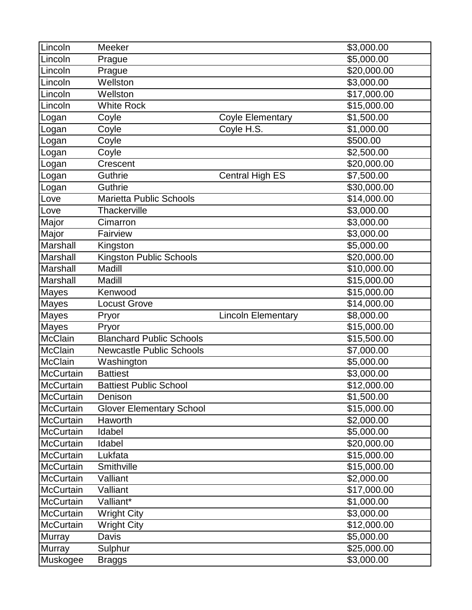| Lincoln          | Meeker                          |                           | \$3,000.00  |
|------------------|---------------------------------|---------------------------|-------------|
| Lincoln          | Prague                          |                           | \$5,000.00  |
| Lincoln          | Prague                          |                           | \$20,000.00 |
| Lincoln          | Wellston                        |                           | \$3,000.00  |
| Lincoln          | Wellston                        |                           | \$17,000.00 |
| Lincoln          | <b>White Rock</b>               |                           | \$15,000.00 |
| Logan            | Coyle                           | <b>Coyle Elementary</b>   | \$1,500.00  |
| Logan            | Coyle                           | Coyle H.S.                | \$1,000.00  |
| Logan            | Coyle                           |                           | \$500.00    |
| Logan            | Coyle                           |                           | \$2,500.00  |
| Logan            | Crescent                        |                           | \$20,000.00 |
| Logan            | Guthrie                         | <b>Central High ES</b>    | \$7,500.00  |
| Logan            | Guthrie                         |                           | \$30,000.00 |
| Love             | <b>Marietta Public Schools</b>  |                           | \$14,000.00 |
| Love             | Thackerville                    |                           | \$3,000.00  |
| Major            | Cimarron                        |                           | \$3,000.00  |
| Major            | Fairview                        |                           | \$3,000.00  |
| Marshall         | Kingston                        |                           | \$5,000.00  |
| Marshall         | Kingston Public Schools         |                           | \$20,000.00 |
| Marshall         | Madill                          |                           | \$10,000.00 |
| Marshall         | Madill                          |                           | \$15,000.00 |
| <b>Mayes</b>     | Kenwood                         |                           | \$15,000.00 |
| Mayes            | <b>Locust Grove</b>             |                           | \$14,000.00 |
| Mayes            | Pryor                           | <b>Lincoln Elementary</b> | \$8,000.00  |
| Mayes            | Pryor                           |                           | \$15,000.00 |
| <b>McClain</b>   | <b>Blanchard Public Schools</b> |                           | \$15,500.00 |
| McClain          | <b>Newcastle Public Schools</b> |                           | \$7,000.00  |
| <b>McClain</b>   | Washington                      |                           | \$5,000.00  |
| McCurtain        | <b>Battiest</b>                 |                           | \$3,000.00  |
| <b>McCurtain</b> | <b>Battiest Public School</b>   |                           | \$12,000.00 |
| <b>McCurtain</b> | Denison                         |                           | \$1,500.00  |
| <b>McCurtain</b> | <b>Glover Elementary School</b> |                           | \$15,000.00 |
| <b>McCurtain</b> | Haworth                         |                           | \$2,000.00  |
| <b>McCurtain</b> | Idabel                          |                           | \$5,000.00  |
| <b>McCurtain</b> | Idabel                          |                           | \$20,000.00 |
| <b>McCurtain</b> | Lukfata                         |                           | \$15,000.00 |
| <b>McCurtain</b> | Smithville                      |                           | \$15,000.00 |
| <b>McCurtain</b> | Valliant                        |                           | \$2,000.00  |
| <b>McCurtain</b> | Valliant                        |                           | \$17,000.00 |
| <b>McCurtain</b> | Valliant*                       |                           | \$1,000.00  |
| <b>McCurtain</b> | <b>Wright City</b>              |                           | \$3,000.00  |
| McCurtain        | <b>Wright City</b>              |                           | \$12,000.00 |
| <b>Murray</b>    | Davis                           |                           | \$5,000.00  |
| <b>Murray</b>    | Sulphur                         |                           | \$25,000.00 |
| Muskogee         | <b>Braggs</b>                   |                           | \$3,000.00  |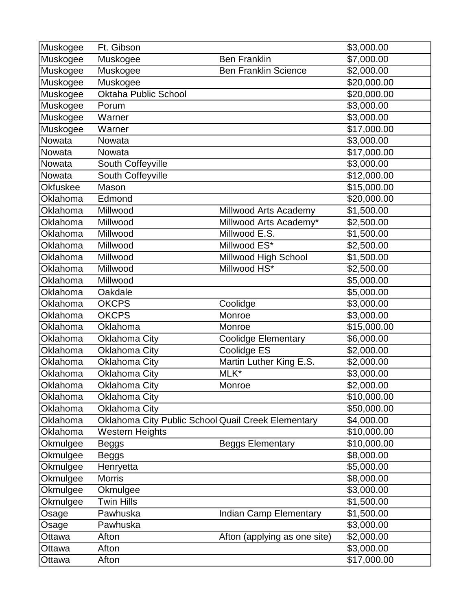| Muskogee        | Ft. Gibson                                         |                              | \$3,000.00  |
|-----------------|----------------------------------------------------|------------------------------|-------------|
| Muskogee        | Muskogee                                           | <b>Ben Franklin</b>          | \$7,000.00  |
| Muskogee        | Muskogee                                           | <b>Ben Franklin Science</b>  | \$2,000.00  |
| Muskogee        | Muskogee                                           |                              | \$20,000.00 |
| Muskogee        | <b>Oktaha Public School</b>                        |                              | \$20,000.00 |
| Muskogee        | Porum                                              |                              | \$3,000.00  |
| Muskogee        | Warner                                             |                              | \$3,000.00  |
| Muskogee        | Warner                                             |                              | \$17,000.00 |
| Nowata          | Nowata                                             |                              | \$3,000.00  |
| Nowata          | Nowata                                             |                              | \$17,000.00 |
| Nowata          | South Coffeyville                                  |                              | \$3,000.00  |
| Nowata          | South Coffeyville                                  |                              | \$12,000.00 |
| <b>Okfuskee</b> | Mason                                              |                              | \$15,000.00 |
| Oklahoma        | Edmond                                             |                              | \$20,000.00 |
| Oklahoma        | Millwood                                           | Millwood Arts Academy        | \$1,500.00  |
| <b>Oklahoma</b> | Millwood                                           | Millwood Arts Academy*       | \$2,500.00  |
| Oklahoma        | Millwood                                           | Millwood E.S.                | \$1,500.00  |
| Oklahoma        | Millwood                                           | Millwood ES*                 | \$2,500.00  |
| <b>Oklahoma</b> | Millwood                                           | Millwood High School         | \$1,500.00  |
| Oklahoma        | Millwood                                           | Millwood HS*                 | \$2,500.00  |
| Oklahoma        | Millwood                                           |                              | \$5,000.00  |
| Oklahoma        | Oakdale                                            |                              | \$5,000.00  |
| Oklahoma        | <b>OKCPS</b>                                       | Coolidge                     | \$3,000.00  |
| Oklahoma        | <b>OKCPS</b>                                       | Monroe                       | \$3,000.00  |
| Oklahoma        | Oklahoma                                           | Monroe                       | \$15,000.00 |
| Oklahoma        | <b>Oklahoma City</b>                               | <b>Coolidge Elementary</b>   | \$6,000.00  |
| Oklahoma        | <b>Oklahoma City</b>                               | Coolidge ES                  | \$2,000.00  |
| Oklahoma        | <b>Oklahoma City</b>                               | Martin Luther King E.S.      | \$2,000.00  |
| Oklahoma        | Oklahoma City                                      | MLK*                         | \$3,000.00  |
| Oklahoma        | <b>Oklahoma City</b>                               | Monroe                       | \$2,000.00  |
| Oklahoma        | Oklahoma City                                      |                              | \$10,000.00 |
| Oklahoma        | <b>Oklahoma City</b>                               |                              | \$50,000.00 |
| <b>Oklahoma</b> | Oklahoma City Public School Quail Creek Elementary |                              | \$4,000.00  |
| Oklahoma        | <b>Western Heights</b>                             |                              | \$10,000.00 |
| Okmulgee        | <b>Beggs</b>                                       | <b>Beggs Elementary</b>      | \$10,000.00 |
| Okmulgee        | <b>Beggs</b>                                       |                              | \$8,000.00  |
| Okmulgee        | Henryetta                                          |                              | \$5,000.00  |
| Okmulgee        | <b>Morris</b>                                      |                              | \$8,000.00  |
| Okmulgee        | Okmulgee                                           |                              | \$3,000.00  |
| Okmulgee        | <b>Twin Hills</b>                                  |                              | \$1,500.00  |
| Osage           | Pawhuska                                           | Indian Camp Elementary       | \$1,500.00  |
| Osage           | Pawhuska                                           |                              | \$3,000.00  |
| Ottawa          | Afton                                              | Afton (applying as one site) | \$2,000.00  |
| Ottawa          | Afton                                              |                              | \$3,000.00  |
| Ottawa          | Afton                                              |                              | \$17,000.00 |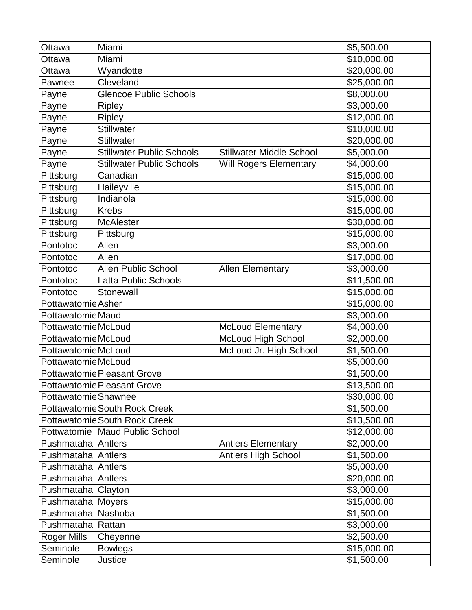| Ottawa                   | Miami                                |                                 | \$5,500.00             |
|--------------------------|--------------------------------------|---------------------------------|------------------------|
| Ottawa                   | Miami                                |                                 | \$10,000.00            |
| Ottawa                   | Wyandotte                            |                                 | \$20,000.00            |
| Pawnee                   | Cleveland                            |                                 | $\sqrt{$25,000.00}$    |
| Payne                    | <b>Glencoe Public Schools</b>        |                                 | \$8,000.00             |
| Payne                    | <b>Ripley</b>                        |                                 | \$3,000.00             |
| Payne                    | <b>Ripley</b>                        |                                 | $\sqrt{312,000.00}$    |
| Payne                    | Stillwater                           |                                 | \$10,000.00            |
| Payne                    | Stillwater                           |                                 | \$20,000.00            |
| Payne                    | <b>Stillwater Public Schools</b>     | <b>Stillwater Middle School</b> | \$5,000.00             |
| Payne                    | <b>Stillwater Public Schools</b>     | <b>Will Rogers Elementary</b>   | \$4,000.00             |
| Pittsburg                | Canadian                             |                                 | \$15,000.00            |
| Pittsburg                | Haileyville                          |                                 | \$15,000.00            |
| Pittsburg                | Indianola                            |                                 | \$15,000.00            |
| Pittsburg                | <b>Krebs</b>                         |                                 | \$15,000.00            |
| Pittsburg                | <b>McAlester</b>                     |                                 | \$30,000.00            |
| Pittsburg                | Pittsburg                            |                                 | \$15,000.00            |
| Pontotoc                 | Allen                                |                                 | \$3,000.00             |
| Pontotoc                 | Allen                                |                                 | \$17,000.00            |
| Pontotoc                 | <b>Allen Public School</b>           | <b>Allen Elementary</b>         | \$3,000.00             |
| Pontotoc                 | <b>Latta Public Schools</b>          |                                 | \$11,500.00            |
| Pontotoc                 | Stonewall                            |                                 | \$15,000.00            |
| Pottawatomie Asher       |                                      |                                 | \$15,000.00            |
| <b>Pottawatomie Maud</b> |                                      |                                 | \$3,000.00             |
| Pottawatomie McLoud      |                                      | <b>McLoud Elementary</b>        | \$4,000.00             |
| Pottawatomie McLoud      |                                      | McLoud High School              | \$2,000.00             |
| Pottawatomie McLoud      |                                      | McLoud Jr. High School          | \$1,500.00             |
| Pottawatomie McLoud      |                                      |                                 | \$5,000.00             |
|                          | <b>Pottawatomie Pleasant Grove</b>   |                                 | \$1,500.00             |
|                          | <b>Pottawatomie Pleasant Grove</b>   |                                 | \$13,500.00            |
| Pottawatomie Shawnee     |                                      |                                 | \$30,000.00            |
|                          | <b>Pottawatomie South Rock Creek</b> |                                 | \$1,500.00             |
|                          | <b>Pottawatomie South Rock Creek</b> |                                 | \$13,500.00            |
|                          | Pottwatomie Maud Public School       |                                 | \$12,000.00            |
| Pushmataha Antlers       |                                      | <b>Antlers Elementary</b>       | \$2,000.00             |
| Pushmataha Antlers       |                                      | <b>Antlers High School</b>      | \$1,500.00             |
| Pushmataha Antlers       |                                      |                                 | \$5,000.00             |
| Pushmataha Antlers       |                                      |                                 | \$20,000.00            |
| Pushmataha Clayton       |                                      |                                 | \$3,000.00             |
| Pushmataha Moyers        |                                      |                                 | \$15,000.00            |
| Pushmataha Nashoba       |                                      |                                 | \$1,500.00             |
| Pushmataha Rattan        |                                      |                                 | \$3,000.00             |
| <b>Roger Mills</b>       | Cheyenne                             |                                 | \$2,500.00             |
| Seminole                 | <b>Bowlegs</b>                       |                                 | \$15,000.00            |
| Seminole                 | <b>Justice</b>                       |                                 | $\overline{$}1,500.00$ |